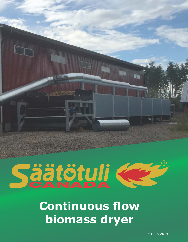

# Säätötuli C ®

## **Continuous flow biomass dryer**

EN July 2019